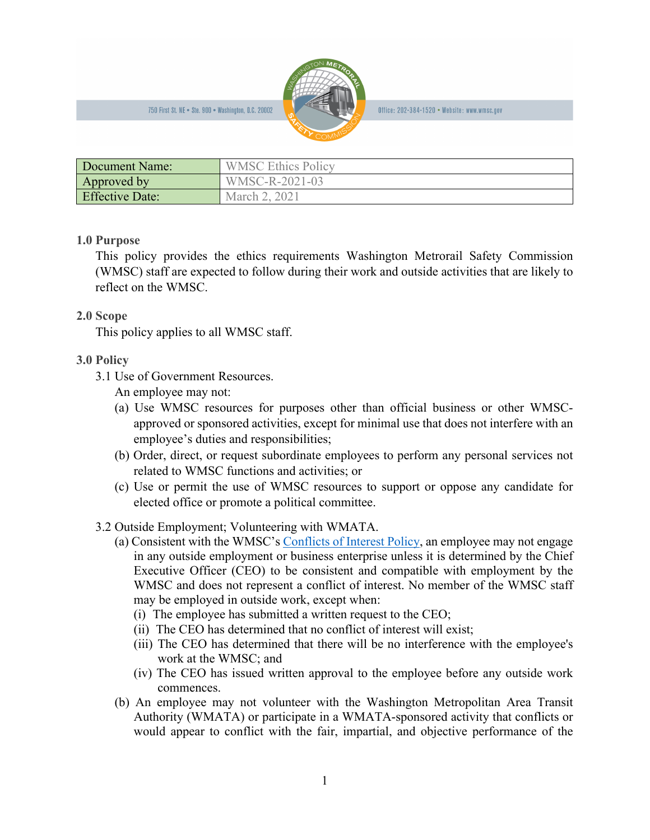750 First St. NE . Ste. 900 . Washington, D.C. 20002



Office: 202-384-1520 • Website: www.wmsc.gov

| Document Name:         | <b>WMSC Ethics Policy</b> |
|------------------------|---------------------------|
| Approved by            | WMSC-R-2021-03            |
| <b>Effective Date:</b> | March 2, 2021             |

## **1.0 Purpose**

This policy provides the ethics requirements Washington Metrorail Safety Commission (WMSC) staff are expected to follow during their work and outside activities that are likely to reflect on the WMSC.

## **2.0 Scope**

This policy applies to all WMSC staff.

## **3.0 Policy**

3.1 Use of Government Resources.

An employee may not:

- (a) Use WMSC resources for purposes other than official business or other WMSCapproved or sponsored activities, except for minimal use that does not interfere with an employee's duties and responsibilities;
- (b) Order, direct, or request subordinate employees to perform any personal services not related to WMSC functions and activities; or
- (c) Use or permit the use of WMSC resources to support or oppose any candidate for elected office or promote a political committee.
- 3.2 Outside Employment; Volunteering with WMATA.
	- (a) Consistent with the WMSC's [Conflicts of Interest Policy,](http://wmsc.gov/wp-content/uploads/2020/11/2020_11_10-WMSC-Conflict-of-Interest-Policy.pdf) an employee may not engage in any outside employment or business enterprise unless it is determined by the Chief Executive Officer (CEO) to be consistent and compatible with employment by the WMSC and does not represent a conflict of interest. No member of the WMSC staff may be employed in outside work, except when:
		- (i) The employee has submitted a written request to the CEO;
		- (ii) The CEO has determined that no conflict of interest will exist;
		- (iii) The CEO has determined that there will be no interference with the employee's work at the WMSC; and
		- (iv) The CEO has issued written approval to the employee before any outside work commences.
	- (b) An employee may not volunteer with the Washington Metropolitan Area Transit Authority (WMATA) or participate in a WMATA-sponsored activity that conflicts or would appear to conflict with the fair, impartial, and objective performance of the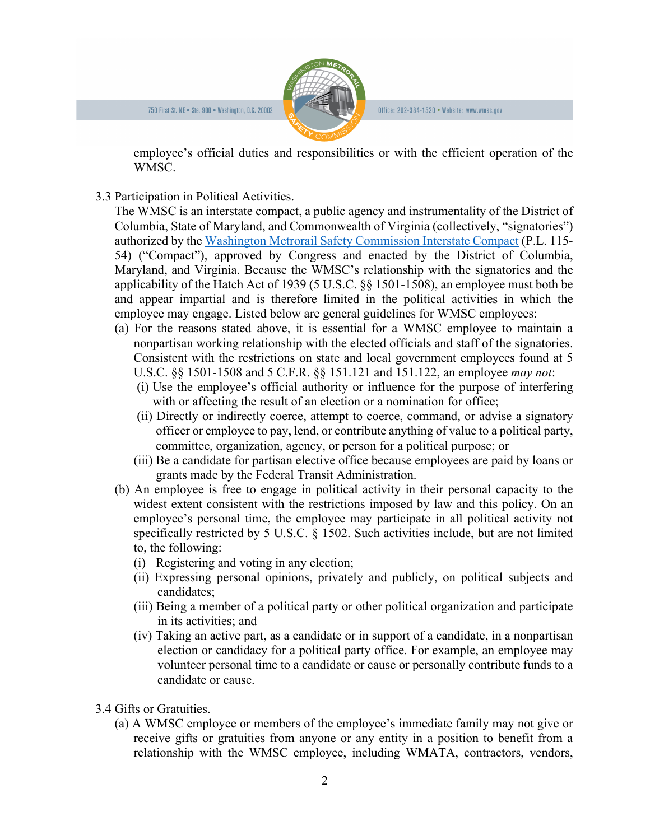

Office: 202-384-1520 • Website: www.wmsc.gov

employee's official duties and responsibilities or with the efficient operation of the WMSC.

3.3 Participation in Political Activities.

The WMSC is an interstate compact, a public agency and instrumentality of the District of Columbia, State of Maryland, and Commonwealth of Virginia (collectively, "signatories") authorized by the [Washington Metrorail Safety Commission Interstate Compact](http://wmsc.gov/wp-content/uploads/2019/02/2017_08_22_P.L.-115-54_Congressional-Resolution-Granting-Approval-for-Compact.pdf) (P.L. 115- 54) ("Compact"), approved by Congress and enacted by the District of Columbia, Maryland, and Virginia. Because the WMSC's relationship with the signatories and the applicability of the Hatch Act of 1939 (5 U.S.C. §§ 1501-1508), an employee must both be and appear impartial and is therefore limited in the political activities in which the employee may engage. Listed below are general guidelines for WMSC employees:

- (a) For the reasons stated above, it is essential for a WMSC employee to maintain a nonpartisan working relationship with the elected officials and staff of the signatories. Consistent with the restrictions on state and local government employees found at 5 U.S.C. §§ 1501-1508 and 5 C.F.R. §§ 151.121 and 151.122, an employee *may not*:
	- (i) Use the employee's official authority or influence for the purpose of interfering with or affecting the result of an election or a nomination for office;
	- (ii) Directly or indirectly coerce, attempt to coerce, command, or advise a signatory officer or employee to pay, lend, or contribute anything of value to a political party, committee, organization, agency, or person for a political purpose; or
	- (iii) Be a candidate for partisan elective office because employees are paid by loans or grants made by the Federal Transit Administration.
- (b) An employee is free to engage in political activity in their personal capacity to the widest extent consistent with the restrictions imposed by law and this policy. On an employee's personal time, the employee may participate in all political activity not specifically restricted by 5 U.S.C. § 1502. Such activities include, but are not limited to, the following:
	- (i) Registering and voting in any election;
	- (ii) Expressing personal opinions, privately and publicly, on political subjects and candidates;
	- (iii) Being a member of a political party or other political organization and participate in its activities; and
	- (iv) Taking an active part, as a candidate or in support of a candidate, in a nonpartisan election or candidacy for a political party office. For example, an employee may volunteer personal time to a candidate or cause or personally contribute funds to a candidate or cause.
- 3.4 Gifts or Gratuities.
	- (a) A WMSC employee or members of the employee's immediate family may not give or receive gifts or gratuities from anyone or any entity in a position to benefit from a relationship with the WMSC employee, including WMATA, contractors, vendors,